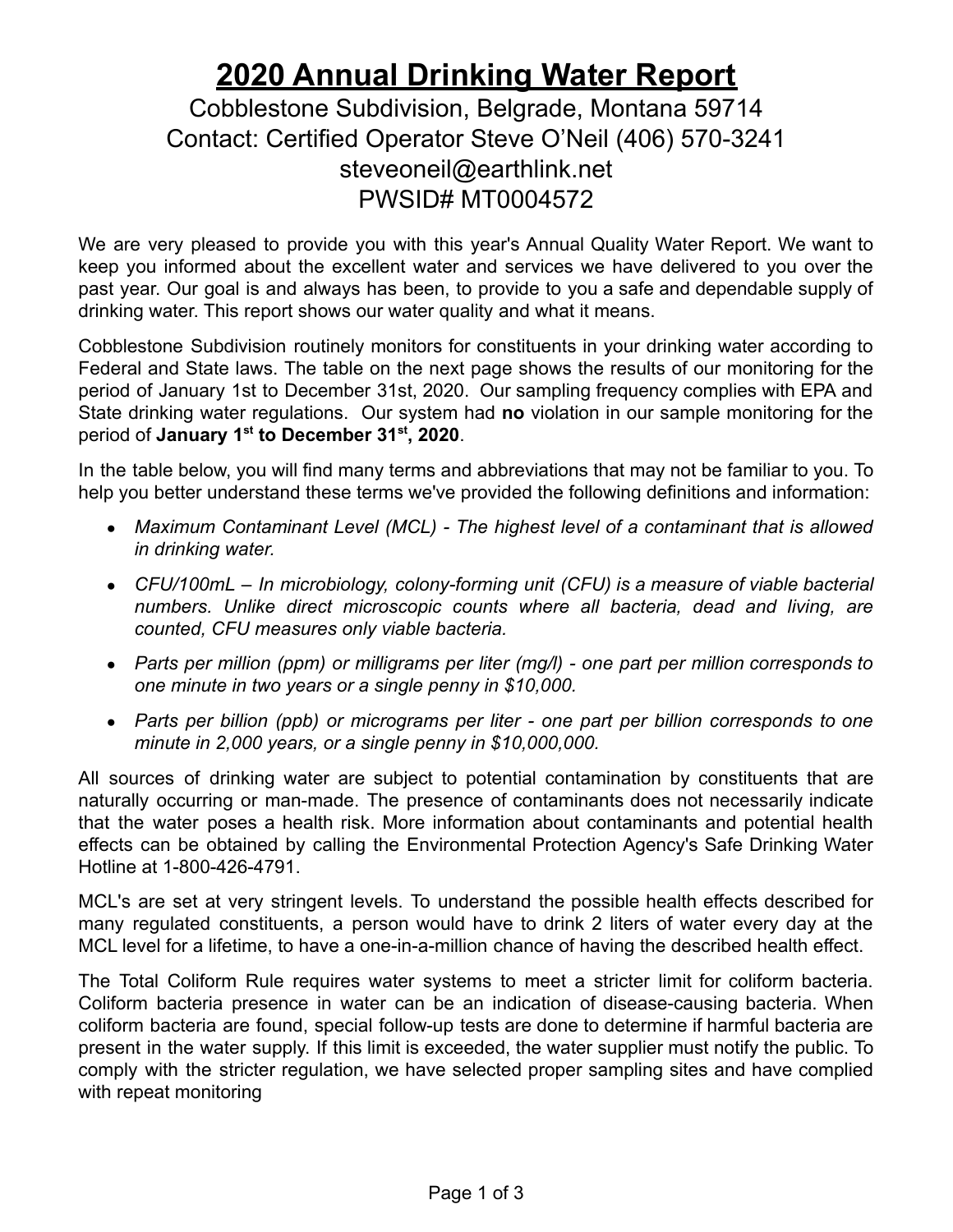## **2020 Annual Drinking Water Report**

Cobblestone Subdivision, Belgrade, Montana 59714 Contact: Certified Operator Steve O'Neil (406) 570-3241 steveoneil@earthlink.net PWSID# MT0004572

We are very pleased to provide you with this year's Annual Quality Water Report. We want to keep you informed about the excellent water and services we have delivered to you over the past year. Our goal is and always has been, to provide to you a safe and dependable supply of drinking water. This report shows our water quality and what it means.

Cobblestone Subdivision routinely monitors for constituents in your drinking water according to Federal and State laws. The table on the next page shows the results of our monitoring for the period of January 1st to December 31st, 2020. Our sampling frequency complies with EPA and State drinking water regulations. Our system had **no** violation in our sample monitoring for the period of **January 1st to December 31st , 2020**.

In the table below, you will find many terms and abbreviations that may not be familiar to you. To help you better understand these terms we've provided the following definitions and information:

- *Maximum Contaminant Level (MCL) - The highest level of a contaminant that is allowed in drinking water.*
- *CFU/100mL – In microbiology, colony-forming unit (CFU) is a measure of viable bacterial numbers. Unlike direct microscopic counts where all bacteria, dead and living, are counted, CFU measures only viable bacteria.*
- *Parts per million (ppm) or milligrams per liter (mg/l) - one part per million corresponds to one minute in two years or a single penny in \$10,000.*
- *Parts per billion (ppb) or micrograms per liter - one part per billion corresponds to one minute in 2,000 years, or a single penny in \$10,000,000.*

All sources of drinking water are subject to potential contamination by constituents that are naturally occurring or man-made. The presence of contaminants does not necessarily indicate that the water poses a health risk. More information about contaminants and potential health effects can be obtained by calling the Environmental Protection Agency's Safe Drinking Water Hotline at 1-800-426-4791.

MCL's are set at very stringent levels. To understand the possible health effects described for many regulated constituents, a person would have to drink 2 liters of water every day at the MCL level for a lifetime, to have a one-in-a-million chance of having the described health effect.

The Total Coliform Rule requires water systems to meet a stricter limit for coliform bacteria. Coliform bacteria presence in water can be an indication of disease-causing bacteria. When coliform bacteria are found, special follow-up tests are done to determine if harmful bacteria are present in the water supply. If this limit is exceeded, the water supplier must notify the public. To comply with the stricter regulation, we have selected proper sampling sites and have complied with repeat monitoring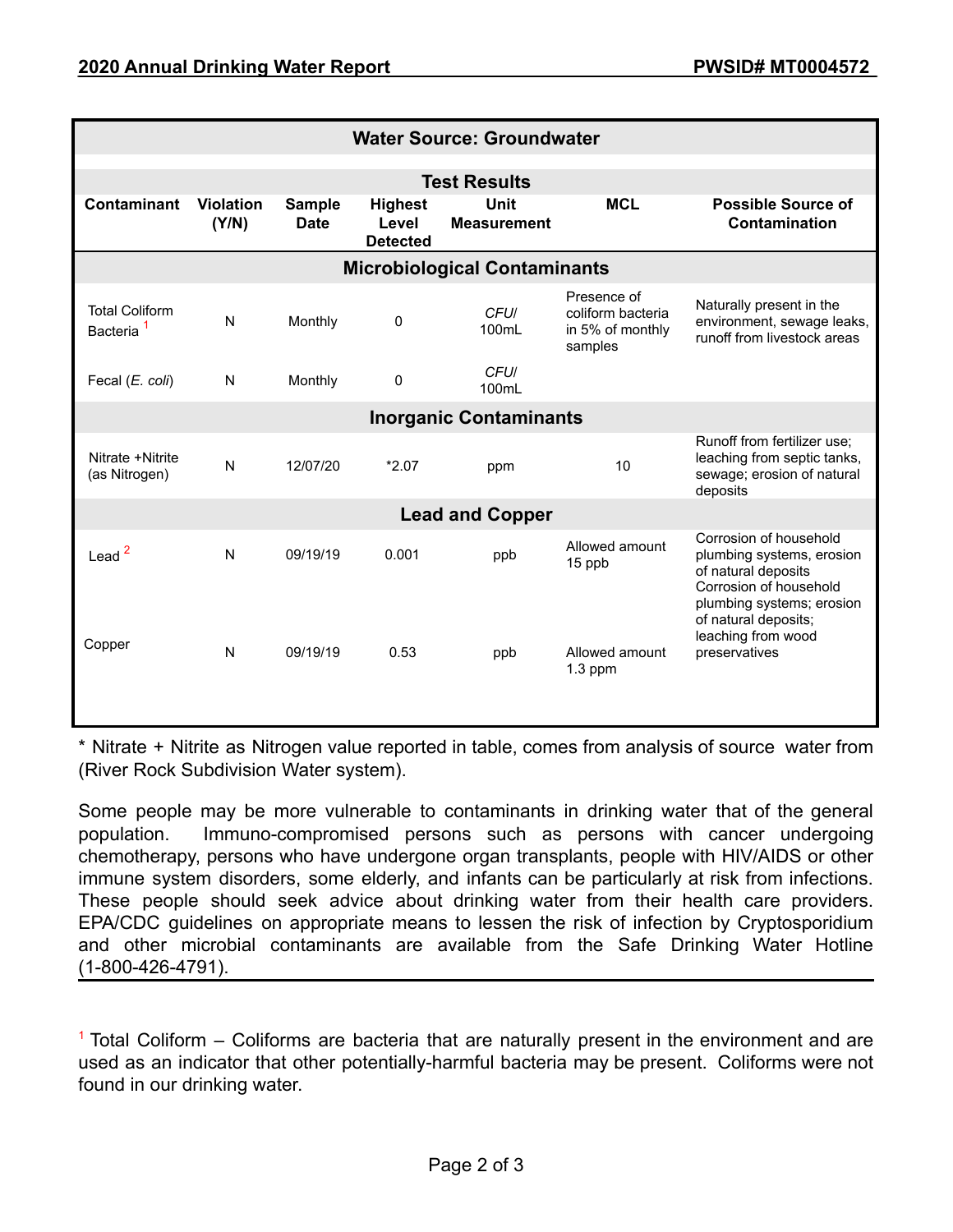| <b>Water Source: Groundwater</b>               |                           |                              |                                            |                            |                                                                 |                                                                                                                                   |
|------------------------------------------------|---------------------------|------------------------------|--------------------------------------------|----------------------------|-----------------------------------------------------------------|-----------------------------------------------------------------------------------------------------------------------------------|
| <b>Test Results</b>                            |                           |                              |                                            |                            |                                                                 |                                                                                                                                   |
| <b>Contaminant</b>                             | <b>Violation</b><br>(Y/N) | <b>Sample</b><br><b>Date</b> | <b>Highest</b><br>Level<br><b>Detected</b> | Unit<br><b>Measurement</b> | <b>MCL</b>                                                      | <b>Possible Source of</b><br>Contamination                                                                                        |
| <b>Microbiological Contaminants</b>            |                           |                              |                                            |                            |                                                                 |                                                                                                                                   |
| <b>Total Coliform</b><br>Bacteria <sup>1</sup> | N                         | Monthly                      | 0                                          | CFU/<br>100mL              | Presence of<br>coliform bacteria<br>in 5% of monthly<br>samples | Naturally present in the<br>environment, sewage leaks,<br>runoff from livestock areas                                             |
| Fecal (E. coli)                                | N                         | Monthly                      | $\mathbf 0$                                | <b>CFUI</b><br>100mL       |                                                                 |                                                                                                                                   |
| <b>Inorganic Contaminants</b>                  |                           |                              |                                            |                            |                                                                 |                                                                                                                                   |
| Nitrate +Nitrite<br>(as Nitrogen)              | $\mathsf{N}$              | 12/07/20                     | $*2.07$                                    | ppm                        | 10                                                              | Runoff from fertilizer use;<br>leaching from septic tanks,<br>sewage; erosion of natural<br>deposits                              |
| <b>Lead and Copper</b>                         |                           |                              |                                            |                            |                                                                 |                                                                                                                                   |
| Lead $2$                                       | N                         | 09/19/19                     | 0.001                                      | ppb                        | Allowed amount<br>15 ppb                                        | Corrosion of household<br>plumbing systems, erosion<br>of natural deposits<br>Corrosion of household<br>plumbing systems; erosion |
| Copper                                         | N                         | 09/19/19                     | 0.53                                       | ppb                        | Allowed amount<br>$1.3$ ppm                                     | of natural deposits;<br>leaching from wood<br>preservatives                                                                       |

\* Nitrate + Nitrite as Nitrogen value reported in table, comes from analysis of source water from (River Rock Subdivision Water system).

Some people may be more vulnerable to contaminants in drinking water that of the general population. Immuno-compromised persons such as persons with cancer undergoing chemotherapy, persons who have undergone organ transplants, people with HIV/AIDS or other immune system disorders, some elderly, and infants can be particularly at risk from infections. These people should seek advice about drinking water from their health care providers. EPA/CDC guidelines on appropriate means to lessen the risk of infection by Cryptosporidium and other microbial contaminants are available from the Safe Drinking Water Hotline (1-800-426-4791).

 $1$  Total Coliform – Coliforms are bacteria that are naturally present in the environment and are used as an indicator that other potentially-harmful bacteria may be present. Coliforms were not found in our drinking water.